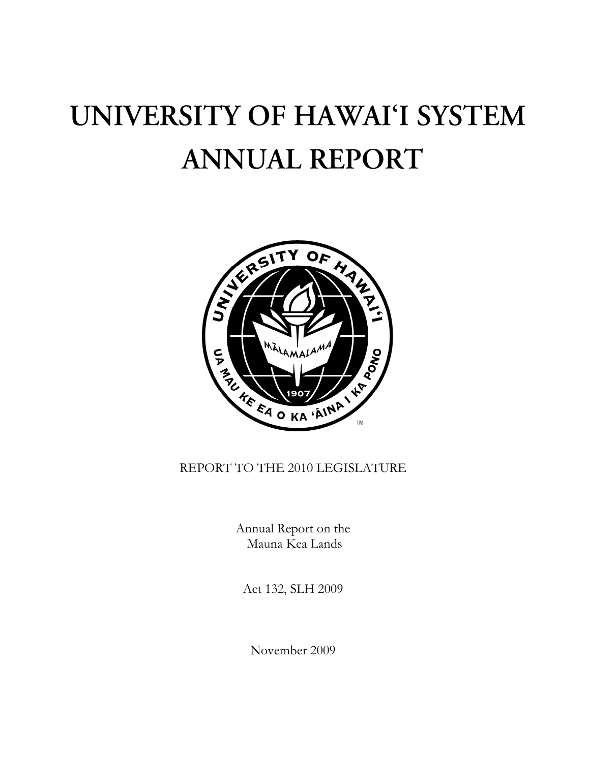# UNIVERSITY OF HAWAI'I SYSTEM **ANNUAL REPORT**



# REPORT TO THE 2010 LEGISLATURE

Annual Report on the Mauna Kea Lands

Act 132, SLH 2009

November 2009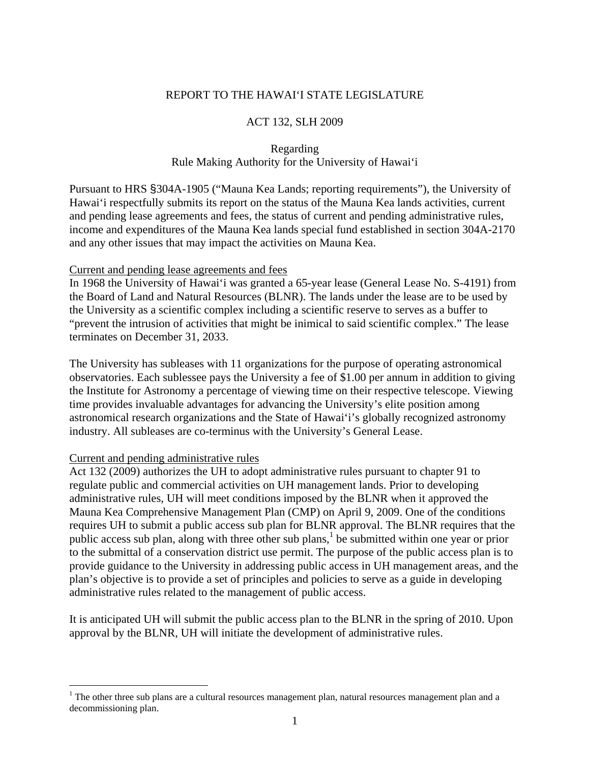## REPORT TO THE HAWAI'I STATE LEGISLATURE

### ACT 132, SLH 2009

# Regarding Rule Making Authority for the University of Hawai'i

Pursuant to HRS §304A-1905 ("Mauna Kea Lands; reporting requirements"), the University of Hawai'i respectfully submits its report on the status of the Mauna Kea lands activities, current and pending lease agreements and fees, the status of current and pending administrative rules, income and expenditures of the Mauna Kea lands special fund established in section 304A-2170 and any other issues that may impact the activities on Mauna Kea.

#### Current and pending lease agreements and fees

In 1968 the University of Hawai'i was granted a 65-year lease (General Lease No. S-4191) from the Board of Land and Natural Resources (BLNR). The lands under the lease are to be used by the University as a scientific complex including a scientific reserve to serves as a buffer to "prevent the intrusion of activities that might be inimical to said scientific complex." The lease terminates on December 31, 2033.

The University has subleases with 11 organizations for the purpose of operating astronomical observatories. Each sublessee pays the University a fee of \$1.00 per annum in addition to giving the Institute for Astronomy a percentage of viewing time on their respective telescope. Viewing time provides invaluable advantages for advancing the University's elite position among astronomical research organizations and the State of Hawai'i's globally recognized astronomy industry. All subleases are co-terminus with the University's General Lease.

#### Current and pending administrative rules

<u>.</u>

Act 132 (2009) authorizes the UH to adopt administrative rules pursuant to chapter 91 to regulate public and commercial activities on UH management lands. Prior to developing administrative rules, UH will meet conditions imposed by the BLNR when it approved the Mauna Kea Comprehensive Management Plan (CMP) on April 9, 2009. One of the conditions requires UH to submit a public access sub plan for BLNR approval. The BLNR requires that the public access sub plan, along with three other sub plans,<sup>1</sup> be submitted within one year or prior to the submittal of a conservation district use permit. The purpose of the public access plan is to provide guidance to the University in addressing public access in UH management areas, and the plan's objective is to provide a set of principles and policies to serve as a guide in developing administrative rules related to the management of public access.

It is anticipated UH will submit the public access plan to the BLNR in the spring of 2010. Upon approval by the BLNR, UH will initiate the development of administrative rules.

<sup>&</sup>lt;sup>1</sup> The other three sub plans are a cultural resources management plan, natural resources management plan and a decommissioning plan.